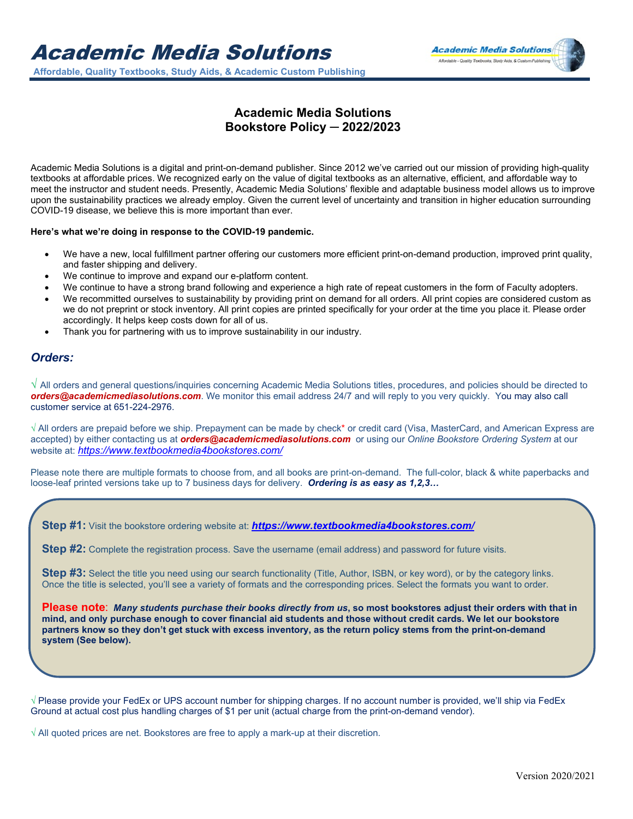

## **Academic Media Solutions Bookstore Policy ─ 2022/2023**

Academic Media Solutions is a digital and print-on-demand publisher. Since 2012 we've carried out our mission of providing high-quality textbooks at affordable prices. We recognized early on the value of digital textbooks as an alternative, efficient, and affordable way to meet the instructor and student needs. Presently, Academic Media Solutions' flexible and adaptable business model allows us to improve upon the sustainability practices we already employ. Given the current level of uncertainty and transition in higher education surrounding COVID-19 disease, we believe this is more important than ever.

## **Here's what we're doing in response to the COVID-19 pandemic.**

- We have a new, local fulfillment partner offering our customers more efficient print-on-demand production, improved print quality, and faster shipping and delivery.
- We continue to improve and expand our e-platform content.
- We continue to have a strong brand following and experience a high rate of repeat customers in the form of Faculty adopters.
- We recommitted ourselves to sustainability by providing print on demand for all orders. All print copies are considered custom as we do not preprint or stock inventory. All print copies are printed specifically for your order at the time you place it. Please order accordingly. It helps keep costs down for all of us.
- Thank you for partnering with us to improve sustainability in our industry.

## *Orders:*

Ī

**√** All orders and general questions/inquiries concerning Academic Media Solutions titles, procedures, and policies should be directed to *[orders@academicmediasolutions.com](mailto:orders@yololearningsolutions.com)*. We monitor this email address 24/7 and will reply to you very quickly. You may also call customer service at 651-224-2976.

**√** All orders are prepaid before we ship. Prepayment can be made by check\* or credit card (Visa, MasterCard, and American Express are accepted) by either contacting us at *[orders@academicmediasolutions.com](mailto:orders@yololearningsolutions.com)* or using our *Online Bookstore Ordering System* at our website at: *<https://www.textbookmedia4bookstores.com/>*

Please note there are multiple formats to choose from, and all books are print-on-demand. The full-color, black & white paperbacks and loose-leaf printed versions take up to 7 business days for delivery. *Ordering is as easy as 1,2,3…*

**Step #1:** Visit the bookstore ordering website at: *<https://www.textbookmedia4bookstores.com/>*

**Step #2:** Complete the registration process. Save the username (email address) and password for future visits.

**Step #3:** Select the title you need using our search functionality (Title, Author, ISBN, or key word), or by the category links. Once the title is selected, you'll see a variety of formats and the corresponding prices. Select the formats you want to order.

**Please note**: *Many students purchase their books directly from us***, so most bookstores adjust their orders with that in mind, and only purchase enough to cover financial aid students and those without credit cards. We let our bookstore partners know so they don't get stuck with excess inventory, as the return policy stems from the print-on-demand system (See below).**

√ Please provide your FedEx or UPS account number for shipping charges. If no account number is provided, we'll ship via FedEx Ground at actual cost plus handling charges of \$1 per unit (actual charge from the print-on-demand vendor).

√ All quoted prices are net. Bookstores are free to apply a mark-up at their discretion.